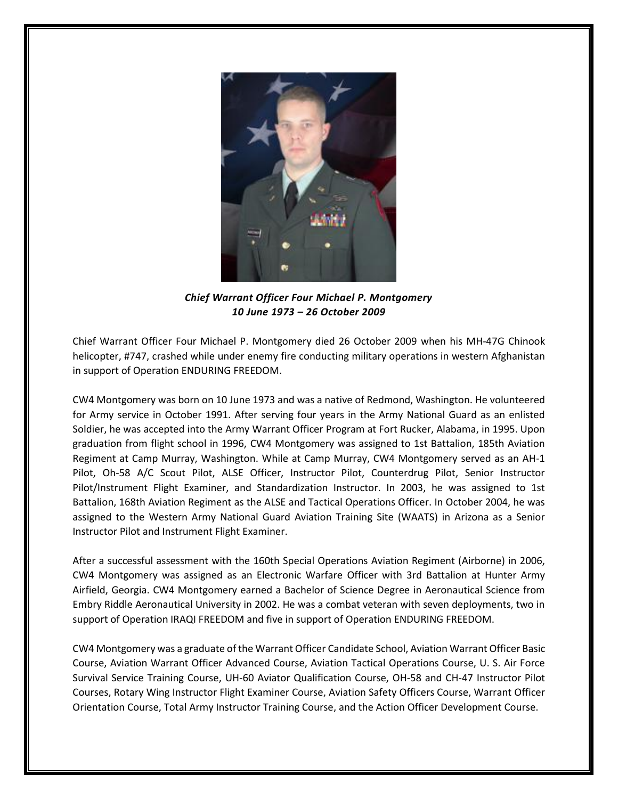

*Chief Warrant Officer Four Michael P. Montgomery 10 June 1973 – 26 October 2009*

Chief Warrant Officer Four Michael P. Montgomery died 26 October 2009 when his MH-47G Chinook helicopter, #747, crashed while under enemy fire conducting military operations in western Afghanistan in support of Operation ENDURING FREEDOM.

CW4 Montgomery was born on 10 June 1973 and was a native of Redmond, Washington. He volunteered for Army service in October 1991. After serving four years in the Army National Guard as an enlisted Soldier, he was accepted into the Army Warrant Officer Program at Fort Rucker, Alabama, in 1995. Upon graduation from flight school in 1996, CW4 Montgomery was assigned to 1st Battalion, 185th Aviation Regiment at Camp Murray, Washington. While at Camp Murray, CW4 Montgomery served as an AH-1 Pilot, Oh-58 A/C Scout Pilot, ALSE Officer, Instructor Pilot, Counterdrug Pilot, Senior Instructor Pilot/Instrument Flight Examiner, and Standardization Instructor. In 2003, he was assigned to 1st Battalion, 168th Aviation Regiment as the ALSE and Tactical Operations Officer. In October 2004, he was assigned to the Western Army National Guard Aviation Training Site (WAATS) in Arizona as a Senior Instructor Pilot and Instrument Flight Examiner.

After a successful assessment with the 160th Special Operations Aviation Regiment (Airborne) in 2006, CW4 Montgomery was assigned as an Electronic Warfare Officer with 3rd Battalion at Hunter Army Airfield, Georgia. CW4 Montgomery earned a Bachelor of Science Degree in Aeronautical Science from Embry Riddle Aeronautical University in 2002. He was a combat veteran with seven deployments, two in support of Operation IRAQI FREEDOM and five in support of Operation ENDURING FREEDOM.

CW4 Montgomery was a graduate of the Warrant Officer Candidate School, Aviation Warrant Officer Basic Course, Aviation Warrant Officer Advanced Course, Aviation Tactical Operations Course, U. S. Air Force Survival Service Training Course, UH-60 Aviator Qualification Course, OH-58 and CH-47 Instructor Pilot Courses, Rotary Wing Instructor Flight Examiner Course, Aviation Safety Officers Course, Warrant Officer Orientation Course, Total Army Instructor Training Course, and the Action Officer Development Course.